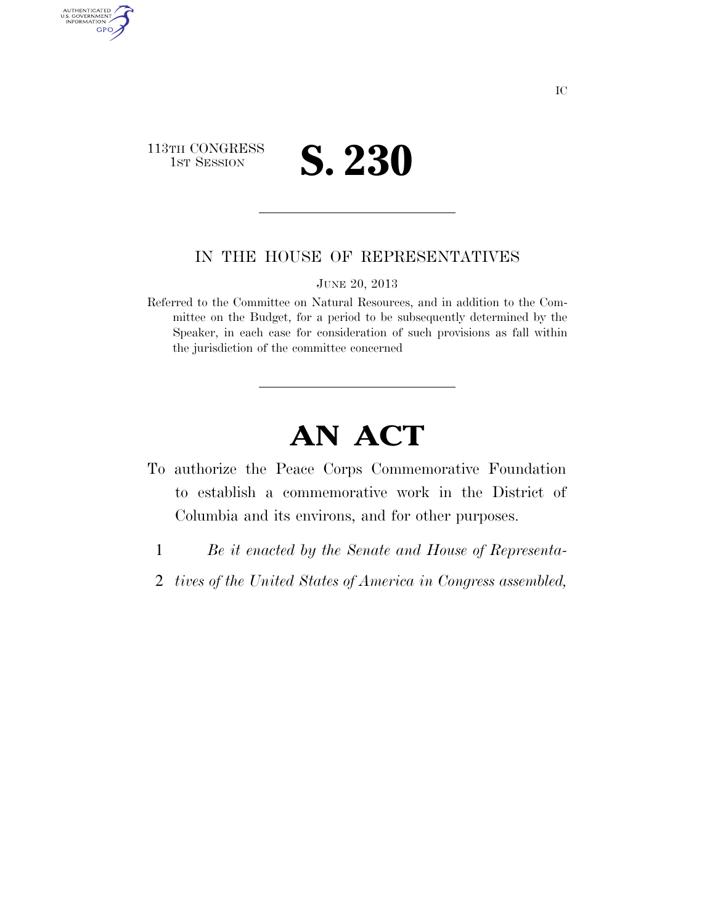

AUTHENTICATED<br>U.S. GOVERNMENT<br>INFORMATION

GPO

## IN THE HOUSE OF REPRESENTATIVES

JUNE 20, 2013

Referred to the Committee on Natural Resources, and in addition to the Committee on the Budget, for a period to be subsequently determined by the Speaker, in each case for consideration of such provisions as fall within the jurisdiction of the committee concerned

## **AN ACT**

- To authorize the Peace Corps Commemorative Foundation to establish a commemorative work in the District of Columbia and its environs, and for other purposes.
	- 1 *Be it enacted by the Senate and House of Representa-*
	- 2 *tives of the United States of America in Congress assembled,*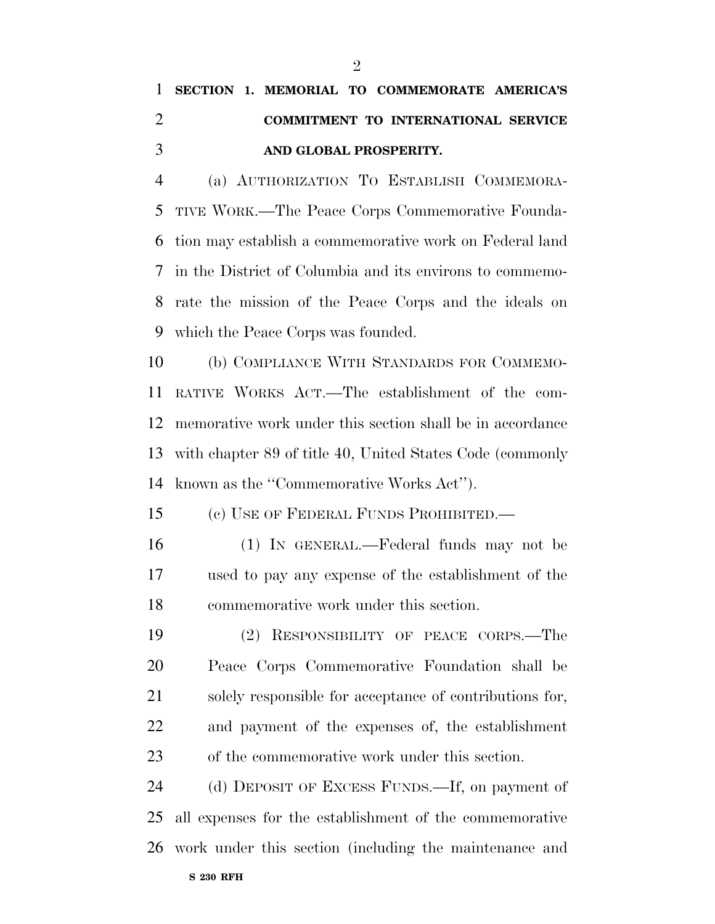## **SECTION 1. MEMORIAL TO COMMEMORATE AMERICA'S COMMITMENT TO INTERNATIONAL SERVICE AND GLOBAL PROSPERITY.**

 (a) AUTHORIZATION TO ESTABLISH COMMEMORA- TIVE WORK.—The Peace Corps Commemorative Founda- tion may establish a commemorative work on Federal land in the District of Columbia and its environs to commemo- rate the mission of the Peace Corps and the ideals on which the Peace Corps was founded.

 (b) COMPLIANCE WITH STANDARDS FOR COMMEMO- RATIVE WORKS ACT.—The establishment of the com- memorative work under this section shall be in accordance with chapter 89 of title 40, United States Code (commonly known as the ''Commemorative Works Act'').

(c) USE OF FEDERAL FUNDS PROHIBITED.—

- (1) IN GENERAL.—Federal funds may not be used to pay any expense of the establishment of the commemorative work under this section.
- (2) RESPONSIBILITY OF PEACE CORPS.—The Peace Corps Commemorative Foundation shall be solely responsible for acceptance of contributions for, and payment of the expenses of, the establishment of the commemorative work under this section.

 (d) DEPOSIT OF EXCESS FUNDS.—If, on payment of all expenses for the establishment of the commemorative work under this section (including the maintenance and